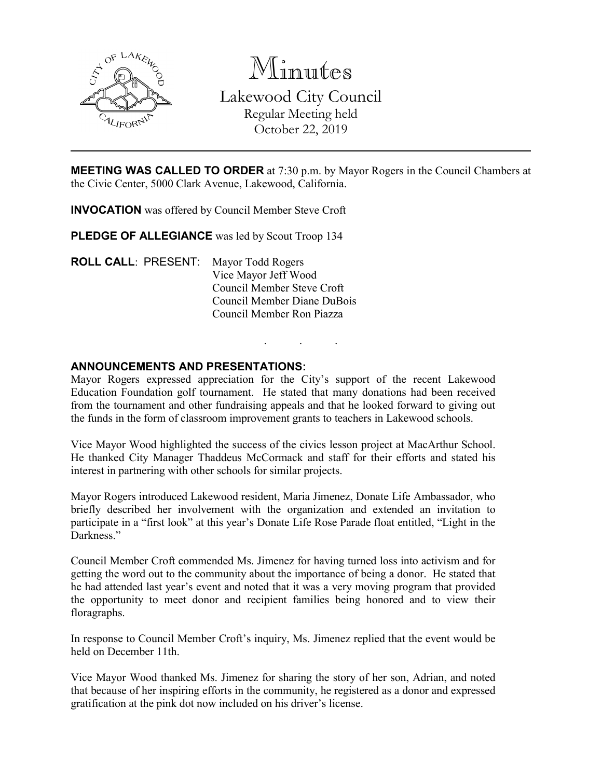

Minutes Lakewood City Council Regular Meeting held October 22, 2019

**MEETING WAS CALLED TO ORDER** at 7:30 p.m. by Mayor Rogers in the Council Chambers at the Civic Center, 5000 Clark Avenue, Lakewood, California.

**INVOCATION** was offered by Council Member Steve Croft

PLEDGE OF ALLEGIANCE was led by Scout Troop 134

**ROLL CALL**: PRESENT: Mayor Todd Rogers Vice Mayor Jeff Wood Council Member Steve Croft Council Member Diane DuBois Council Member Ron Piazza

# **ANNOUNCEMENTS AND PRESENTATIONS:**

Mayor Rogers expressed appreciation for the City's support of the recent Lakewood Education Foundation golf tournament. He stated that many donations had been received from the tournament and other fundraising appeals and that he looked forward to giving out the funds in the form of classroom improvement grants to teachers in Lakewood schools.

. . .

Vice Mayor Wood highlighted the success of the civics lesson project at MacArthur School. He thanked City Manager Thaddeus McCormack and staff for their efforts and stated his interest in partnering with other schools for similar projects.

Mayor Rogers introduced Lakewood resident, Maria Jimenez, Donate Life Ambassador, who briefly described her involvement with the organization and extended an invitation to participate in a "first look" at this year's Donate Life Rose Parade float entitled, "Light in the Darkness."

Council Member Croft commended Ms. Jimenez for having turned loss into activism and for getting the word out to the community about the importance of being a donor. He stated that he had attended last year's event and noted that it was a very moving program that provided the opportunity to meet donor and recipient families being honored and to view their floragraphs.

In response to Council Member Croft's inquiry, Ms. Jimenez replied that the event would be held on December 11th.

Vice Mayor Wood thanked Ms. Jimenez for sharing the story of her son, Adrian, and noted that because of her inspiring efforts in the community, he registered as a donor and expressed gratification at the pink dot now included on his driver's license.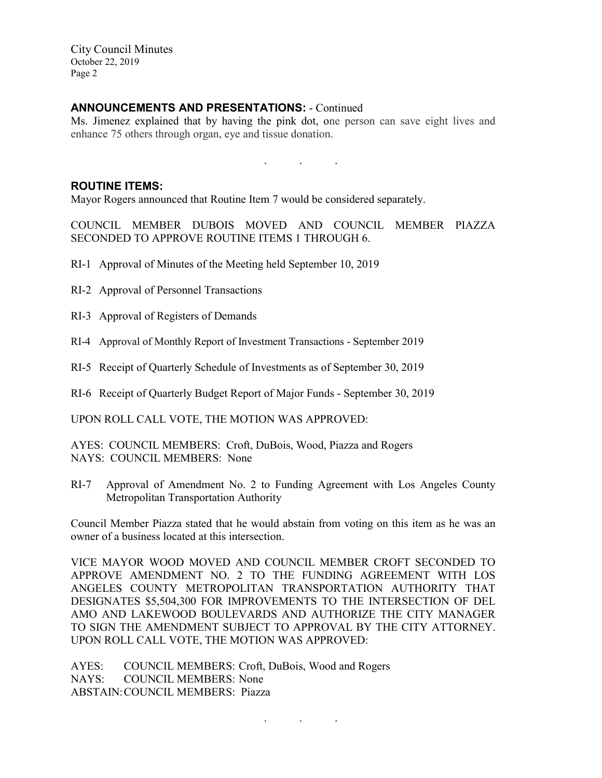City Council Minutes October 22, 2019 Page 2

# **ANNOUNCEMENTS AND PRESENTATIONS:** - Continued

Ms. Jimenez explained that by having the pink dot, one person can save eight lives and enhance 75 others through organ, eye and tissue donation.

. . .

## **ROUTINE ITEMS:**

Mayor Rogers announced that Routine Item 7 would be considered separately.

COUNCIL MEMBER DUBOIS MOVED AND COUNCIL MEMBER PIAZZA SECONDED TO APPROVE ROUTINE ITEMS 1 THROUGH 6.

- RI-1 Approval of Minutes of the Meeting held September 10, 2019
- RI-2 Approval of Personnel Transactions
- RI-3 Approval of Registers of Demands
- RI-4 Approval of Monthly Report of Investment Transactions September 2019
- RI-5 Receipt of Quarterly Schedule of Investments as of September 30, 2019
- RI-6 Receipt of Quarterly Budget Report of Major Funds September 30, 2019

UPON ROLL CALL VOTE, THE MOTION WAS APPROVED:

AYES: COUNCIL MEMBERS: Croft, DuBois, Wood, Piazza and Rogers NAYS: COUNCIL MEMBERS: None

RI-7 Approval of Amendment No. 2 to Funding Agreement with Los Angeles County Metropolitan Transportation Authority

Council Member Piazza stated that he would abstain from voting on this item as he was an owner of a business located at this intersection.

VICE MAYOR WOOD MOVED AND COUNCIL MEMBER CROFT SECONDED TO APPROVE AMENDMENT NO. 2 TO THE FUNDING AGREEMENT WITH LOS ANGELES COUNTY METROPOLITAN TRANSPORTATION AUTHORITY THAT DESIGNATES \$5,504,300 FOR IMPROVEMENTS TO THE INTERSECTION OF DEL AMO AND LAKEWOOD BOULEVARDS AND AUTHORIZE THE CITY MANAGER TO SIGN THE AMENDMENT SUBJECT TO APPROVAL BY THE CITY ATTORNEY. UPON ROLL CALL VOTE, THE MOTION WAS APPROVED:

. . .

AYES: COUNCIL MEMBERS: Croft, DuBois, Wood and Rogers NAYS: COUNCIL MEMBERS: None ABSTAIN:COUNCIL MEMBERS: Piazza